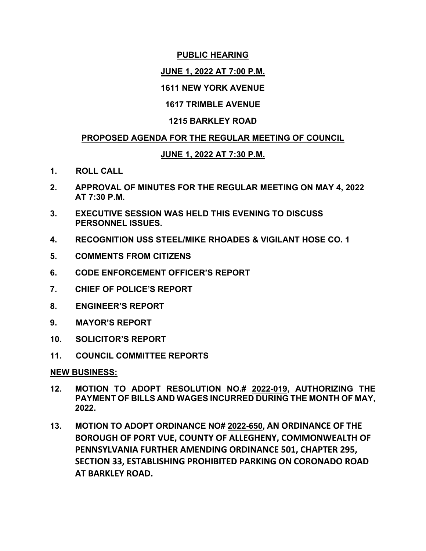### **PUBLIC HEARING**

# **JUNE 1, 2022 AT 7:00 P.M.**

### **1611 NEW YORK AVENUE**

# **1617 TRIMBLE AVENUE**

### **1215 BARKLEY ROAD**

### **PROPOSED AGENDA FOR THE REGULAR MEETING OF COUNCIL**

# **JUNE 1, 2022 AT 7:30 P.M.**

- **1. ROLL CALL**
- **2. APPROVAL OF MINUTES FOR THE REGULAR MEETING ON MAY 4, 2022 AT 7:30 P.M.**
- **3. EXECUTIVE SESSION WAS HELD THIS EVENING TO DISCUSS PERSONNEL ISSUES.**
- **4. RECOGNITION USS STEEL/MIKE RHOADES & VIGILANT HOSE CO. 1**
- **5. COMMENTS FROM CITIZENS**
- **6. CODE ENFORCEMENT OFFICER'S REPORT**
- **7. CHIEF OF POLICE'S REPORT**
- **8. ENGINEER'S REPORT**
- **9. MAYOR'S REPORT**
- **10. SOLICITOR'S REPORT**
- **11. COUNCIL COMMITTEE REPORTS**

#### **NEW BUSINESS:**

- **12. MOTION TO ADOPT RESOLUTION NO.# 2022-019, AUTHORIZING THE PAYMENT OF BILLS AND WAGES INCURRED DURING THE MONTH OF MAY, 2022.**
- **13. MOTION TO ADOPT ORDINANCE NO# 2022-650, AN ORDINANCE OF THE BOROUGH OF PORT VUE, COUNTY OF ALLEGHENY, COMMONWEALTH OF PENNSYLVANIA FURTHER AMENDING ORDINANCE 501, CHAPTER 295, SECTION 33, ESTABLISHING PROHIBITED PARKING ON CORONADO ROAD AT BARKLEY ROAD.**